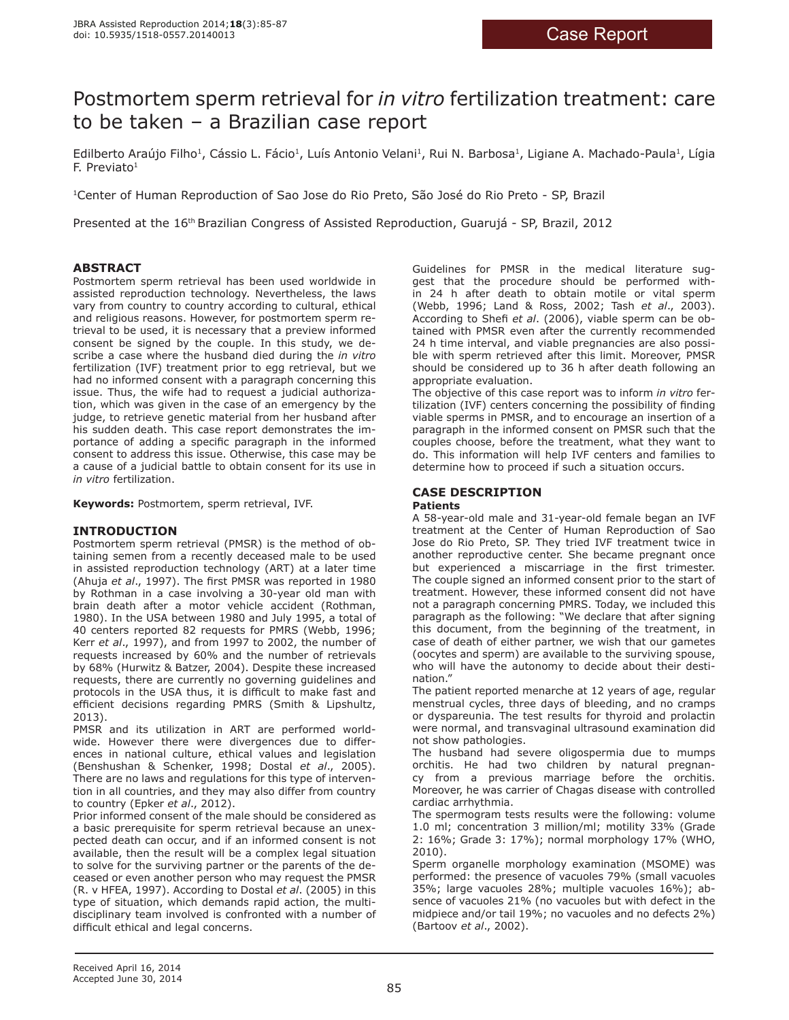# Postmortem sperm retrieval for *in vitro* fertilization treatment: care to be taken – a Brazilian case report

Edilberto Araújo Filho<sup>1</sup>, Cássio L. Fácio<sup>1</sup>, Luís Antonio Velani<sup>1</sup>, Rui N. Barbosa<sup>1</sup>, Ligiane A. Machado-Paula<sup>1</sup>, Lígia  $F.$  Previato<sup>1</sup>

1Center of Human Reproduction of Sao Jose do Rio Preto, São José do Rio Preto - SP, Brazil

Presented at the 16th Brazilian Congress of Assisted Reproduction, Guarujá - SP, Brazil, 2012

# **ABSTRACT**

Postmortem sperm retrieval has been used worldwide in assisted reproduction technology. Nevertheless, the laws vary from country to country according to cultural, ethical and religious reasons. However, for postmortem sperm retrieval to be used, it is necessary that a preview informed consent be signed by the couple. In this study, we describe a case where the husband died during the *in vitro* fertilization (IVF) treatment prior to egg retrieval, but we had no informed consent with a paragraph concerning this issue. Thus, the wife had to request a judicial authorization, which was given in the case of an emergency by the judge, to retrieve genetic material from her husband after his sudden death. This case report demonstrates the importance of adding a specific paragraph in the informed consent to address this issue. Otherwise, this case may be a cause of a judicial battle to obtain consent for its use in *in vitro* fertilization.

**Keywords:** Postmortem, sperm retrieval, IVF.

# **INTRODUCTION**

Postmortem sperm retrieval (PMSR) is the method of obtaining semen from a recently deceased male to be used in assisted reproduction technology (ART) at a later time (Ahuja *et al*., 1997). The first PMSR was reported in 1980 by Rothman in a case involving a 30-year old man with brain death after a motor vehicle accident (Rothman, 1980). In the USA between 1980 and July 1995, a total of 40 centers reported 82 requests for PMRS (Webb, 1996; Kerr *et al*., 1997), and from 1997 to 2002, the number of requests increased by 60% and the number of retrievals by 68% (Hurwitz & Batzer, 2004). Despite these increased requests, there are currently no governing guidelines and protocols in the USA thus, it is difficult to make fast and efficient decisions regarding PMRS (Smith & Lipshultz, 2013).

PMSR and its utilization in ART are performed worldwide. However there were divergences due to differences in national culture, ethical values and legislation (Benshushan & Schenker, 1998; Dostal *et al*., 2005). There are no laws and regulations for this type of intervention in all countries, and they may also differ from country to country (Epker *et al*., 2012).

Prior informed consent of the male should be considered as a basic prerequisite for sperm retrieval because an unexpected death can occur, and if an informed consent is not available, then the result will be a complex legal situation to solve for the surviving partner or the parents of the deceased or even another person who may request the PMSR (R. v HFEA, 1997). According to Dostal *et al*. (2005) in this type of situation, which demands rapid action, the multidisciplinary team involved is confronted with a number of difficult ethical and legal concerns.

Guidelines for PMSR in the medical literature suggest that the procedure should be performed within 24 h after death to obtain motile or vital sperm (Webb, 1996; Land & Ross, 2002; Tash *et al*., 2003). According to Shefi *et al*. (2006), viable sperm can be obtained with PMSR even after the currently recommended 24 h time interval, and viable pregnancies are also possible with sperm retrieved after this limit. Moreover, PMSR should be considered up to 36 h after death following an appropriate evaluation.

The objective of this case report was to inform *in vitro* fertilization (IVF) centers concerning the possibility of finding viable sperms in PMSR, and to encourage an insertion of a paragraph in the informed consent on PMSR such that the couples choose, before the treatment, what they want to do. This information will help IVF centers and families to determine how to proceed if such a situation occurs.

# **CASE DESCRIPTION**

#### **Patients**

A 58-year-old male and 31-year-old female began an IVF treatment at the Center of Human Reproduction of Sao Jose do Rio Preto, SP. They tried IVF treatment twice in another reproductive center. She became pregnant once but experienced a miscarriage in the first trimester. The couple signed an informed consent prior to the start of treatment. However, these informed consent did not have not a paragraph concerning PMRS. Today, we included this paragraph as the following: "We declare that after signing this document, from the beginning of the treatment, in case of death of either partner, we wish that our gametes (oocytes and sperm) are available to the surviving spouse, who will have the autonomy to decide about their destination."

The patient reported menarche at 12 years of age, regular menstrual cycles, three days of bleeding, and no cramps or dyspareunia. The test results for thyroid and prolactin were normal, and transvaginal ultrasound examination did not show pathologies.

The husband had severe oligospermia due to mumps orchitis. He had two children by natural pregnancy from a previous marriage before the orchitis. Moreover, he was carrier of Chagas disease with controlled cardiac arrhythmia.

The spermogram tests results were the following: volume 1.0 ml; concentration 3 million/ml; motility 33% (Grade 2: 16%; Grade 3: 17%); normal morphology 17% (WHO, 2010).

Sperm organelle morphology examination (MSOME) was performed: the presence of vacuoles 79% (small vacuoles 35%; large vacuoles 28%; multiple vacuoles 16%); absence of vacuoles 21% (no vacuoles but with defect in the midpiece and/or tail 19%; no vacuoles and no defects 2%) (Bartoov *et al*., 2002).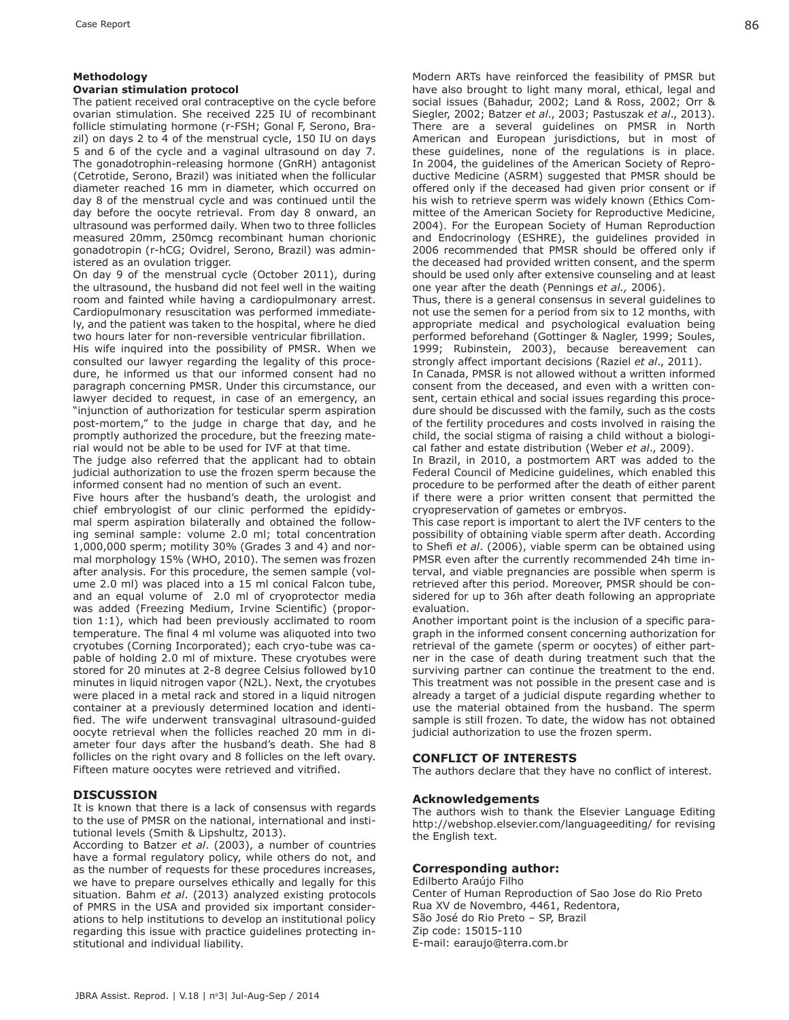#### **Methodology**

#### **Ovarian stimulation protocol**

The patient received oral contraceptive on the cycle before ovarian stimulation. She received 225 IU of recombinant follicle stimulating hormone (r-FSH; Gonal F, Serono, Brazil) on days 2 to 4 of the menstrual cycle, 150 IU on days 5 and 6 of the cycle and a vaginal ultrasound on day 7. The gonadotrophin-releasing hormone (GnRH) antagonist (Cetrotide, Serono, Brazil) was initiated when the follicular diameter reached 16 mm in diameter, which occurred on day 8 of the menstrual cycle and was continued until the day before the oocyte retrieval. From day 8 onward, an ultrasound was performed daily. When two to three follicles measured 20mm, 250mcg recombinant human chorionic gonadotropin (r-hCG; Ovidrel, Serono, Brazil) was administered as an ovulation trigger.

On day 9 of the menstrual cycle (October 2011), during the ultrasound, the husband did not feel well in the waiting room and fainted while having a cardiopulmonary arrest. Cardiopulmonary resuscitation was performed immediately, and the patient was taken to the hospital, where he died two hours later for non-reversible ventricular fibrillation.

His wife inquired into the possibility of PMSR. When we consulted our lawyer regarding the legality of this procedure, he informed us that our informed consent had no paragraph concerning PMSR. Under this circumstance, our lawyer decided to request, in case of an emergency, an "injunction of authorization for testicular sperm aspiration post-mortem," to the judge in charge that day, and he promptly authorized the procedure, but the freezing material would not be able to be used for IVF at that time.

The judge also referred that the applicant had to obtain judicial authorization to use the frozen sperm because the informed consent had no mention of such an event.

Five hours after the husband's death, the urologist and chief embryologist of our clinic performed the epididymal sperm aspiration bilaterally and obtained the following seminal sample: volume 2.0 ml; total concentration 1,000,000 sperm; motility 30% (Grades 3 and 4) and normal morphology 15% (WHO, 2010). The semen was frozen after analysis. For this procedure, the semen sample (volume 2.0 ml) was placed into a 15 ml conical Falcon tube, and an equal volume of 2.0 ml of cryoprotector media was added (Freezing Medium, Irvine Scientific) (proportion 1:1), which had been previously acclimated to room temperature. The final 4 ml volume was aliquoted into two cryotubes (Corning Incorporated); each cryo-tube was capable of holding 2.0 ml of mixture. These cryotubes were stored for 20 minutes at 2-8 degree Celsius followed by10 minutes in liquid nitrogen vapor (N2L). Next, the cryotubes were placed in a metal rack and stored in a liquid nitrogen container at a previously determined location and identified. The wife underwent transvaginal ultrasound-guided oocyte retrieval when the follicles reached 20 mm in diameter four days after the husband's death. She had 8 follicles on the right ovary and 8 follicles on the left ovary. Fifteen mature oocytes were retrieved and vitrified.

# **DISCUSSION**

It is known that there is a lack of consensus with regards to the use of PMSR on the national, international and institutional levels (Smith & Lipshultz, 2013).

According to Batzer *et al*. (2003), a number of countries have a formal regulatory policy, while others do not, and as the number of requests for these procedures increases, we have to prepare ourselves ethically and legally for this situation. Bahm *et al*. (2013) analyzed existing protocols of PMRS in the USA and provided six important considerations to help institutions to develop an institutional policy regarding this issue with practice guidelines protecting institutional and individual liability.

Modern ARTs have reinforced the feasibility of PMSR but have also brought to light many moral, ethical, legal and social issues (Bahadur, 2002; Land & Ross, 2002; Orr & Siegler, 2002; Batzer *et al*., 2003; Pastuszak *et al*., 2013). There are a several guidelines on PMSR in North American and European jurisdictions, but in most of these guidelines, none of the regulations is in place. In 2004, the guidelines of the American Society of Reproductive Medicine (ASRM) suggested that PMSR should be offered only if the deceased had given prior consent or if his wish to retrieve sperm was widely known (Ethics Committee of the American Society for Reproductive Medicine, 2004). For the European Society of Human Reproduction and Endocrinology (ESHRE), the guidelines provided in 2006 recommended that PMSR should be offered only if the deceased had provided written consent, and the sperm should be used only after extensive counseling and at least one year after the death (Pennings *et al.,* 2006).

Thus, there is a general consensus in several guidelines to not use the semen for a period from six to 12 months, with appropriate medical and psychological evaluation being performed beforehand (Gottinger & Nagler, 1999; Soules, 1999; Rubinstein, 2003), because bereavement can strongly affect important decisions (Raziel *et al*., 2011).

In Canada, PMSR is not allowed without a written informed consent from the deceased, and even with a written consent, certain ethical and social issues regarding this procedure should be discussed with the family, such as the costs of the fertility procedures and costs involved in raising the child, the social stigma of raising a child without a biological father and estate distribution (Weber *et al*., 2009).

In Brazil, in 2010, a postmortem ART was added to the Federal Council of Medicine guidelines, which enabled this procedure to be performed after the death of either parent if there were a prior written consent that permitted the cryopreservation of gametes or embryos.

This case report is important to alert the IVF centers to the possibility of obtaining viable sperm after death. According to Shefi *et al*. (2006), viable sperm can be obtained using PMSR even after the currently recommended 24h time interval, and viable pregnancies are possible when sperm is retrieved after this period. Moreover, PMSR should be considered for up to 36h after death following an appropriate evaluation.

Another important point is the inclusion of a specific paragraph in the informed consent concerning authorization for retrieval of the gamete (sperm or oocytes) of either partner in the case of death during treatment such that the surviving partner can continue the treatment to the end. This treatment was not possible in the present case and is already a target of a judicial dispute regarding whether to use the material obtained from the husband. The sperm sample is still frozen. To date, the widow has not obtained judicial authorization to use the frozen sperm.

# **CONFLICT OF INTERESTS**

The authors declare that they have no conflict of interest.

#### **Acknowledgements**

The authors wish to thank the Elsevier Language Editing http://webshop.elsevier.com/languageediting/ for revising the English text.

#### **Corresponding author:**

Edilberto Araújo Filho Center of Human Reproduction of Sao Jose do Rio Preto Rua XV de Novembro, 4461, Redentora, São José do Rio Preto – SP, Brazil Zip code: 15015-110 E-mail: earaujo@terra.com.br